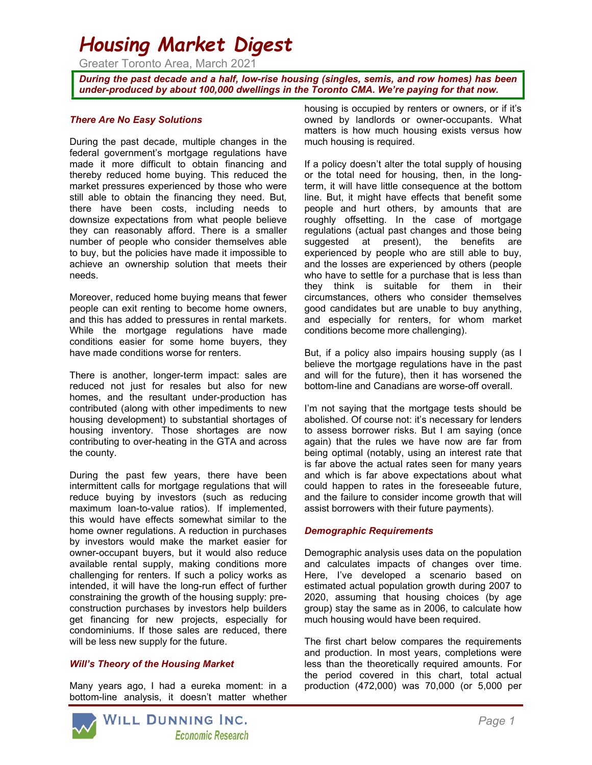# Housing Market Digest

Greater Toronto Area, March 2021

During the past decade and a half, low-rise housing (singles, semis, and row homes) has been under-produced by about 100,000 dwellings in the Toronto CMA. We're paying for that now.

#### There Are No Easy Solutions

During the past decade, multiple changes in the federal government's mortgage regulations have made it more difficult to obtain financing and thereby reduced home buying. This reduced the market pressures experienced by those who were still able to obtain the financing they need. But, there have been costs, including needs to downsize expectations from what people believe they can reasonably afford. There is a smaller number of people who consider themselves able to buy, but the policies have made it impossible to achieve an ownership solution that meets their needs.

Moreover, reduced home buying means that fewer people can exit renting to become home owners, and this has added to pressures in rental markets. While the mortgage regulations have made conditions easier for some home buyers, they have made conditions worse for renters.

There is another, longer-term impact: sales are reduced not just for resales but also for new homes, and the resultant under-production has contributed (along with other impediments to new housing development) to substantial shortages of housing inventory. Those shortages are now contributing to over-heating in the GTA and across the county.

During the past few years, there have been intermittent calls for mortgage regulations that will reduce buying by investors (such as reducing maximum loan-to-value ratios). If implemented, this would have effects somewhat similar to the home owner regulations. A reduction in purchases by investors would make the market easier for owner-occupant buyers, but it would also reduce available rental supply, making conditions more challenging for renters. If such a policy works as intended, it will have the long-run effect of further constraining the growth of the housing supply: preconstruction purchases by investors help builders get financing for new projects, especially for condominiums. If those sales are reduced, there will be less new supply for the future.

#### Will's Theory of the Housing Market

Many years ago, I had a eureka moment: in a bottom-line analysis, it doesn't matter whether housing is occupied by renters or owners, or if it's owned by landlords or owner-occupants. What matters is how much housing exists versus how much housing is required.

If a policy doesn't alter the total supply of housing or the total need for housing, then, in the longterm, it will have little consequence at the bottom line. But, it might have effects that benefit some people and hurt others, by amounts that are roughly offsetting. In the case of mortgage regulations (actual past changes and those being suggested at present), the benefits are experienced by people who are still able to buy, and the losses are experienced by others (people who have to settle for a purchase that is less than they think is suitable for them in their circumstances, others who consider themselves good candidates but are unable to buy anything, and especially for renters, for whom market conditions become more challenging).

But, if a policy also impairs housing supply (as I believe the mortgage regulations have in the past and will for the future), then it has worsened the bottom-line and Canadians are worse-off overall.

I'm not saying that the mortgage tests should be abolished. Of course not: it's necessary for lenders to assess borrower risks. But I am saying (once again) that the rules we have now are far from being optimal (notably, using an interest rate that is far above the actual rates seen for many years and which is far above expectations about what could happen to rates in the foreseeable future, and the failure to consider income growth that will assist borrowers with their future payments).

#### Demographic Requirements

Demographic analysis uses data on the population and calculates impacts of changes over time. Here, I've developed a scenario based on estimated actual population growth during 2007 to 2020, assuming that housing choices (by age group) stay the same as in 2006, to calculate how much housing would have been required.

The first chart below compares the requirements and production. In most years, completions were less than the theoretically required amounts. For the period covered in this chart, total actual production (472,000) was 70,000 (or 5,000 per